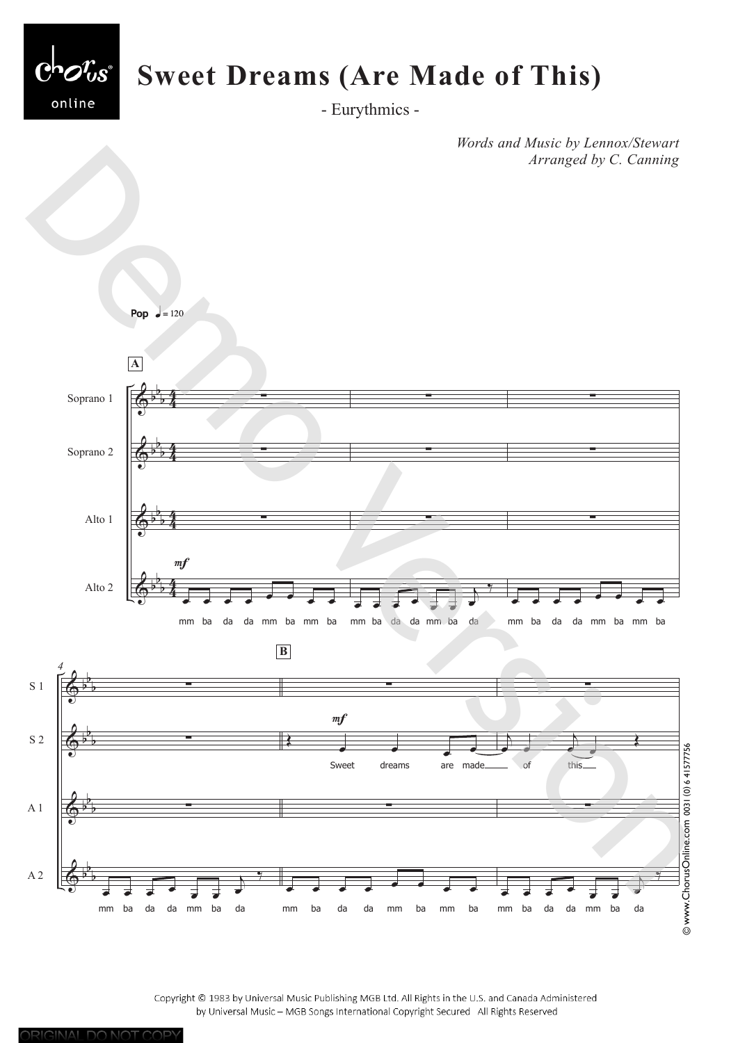

- Eurythmics -

*Words and Music by Lennox/Stewart Arranged by C. Canning*



Copyright © 1983 by Universal Music Publishing MGB Ltd. All Rights in the U.S. and Canada Administered by Universal Music - MGB Songs International Copyright Secured All Rights Reserved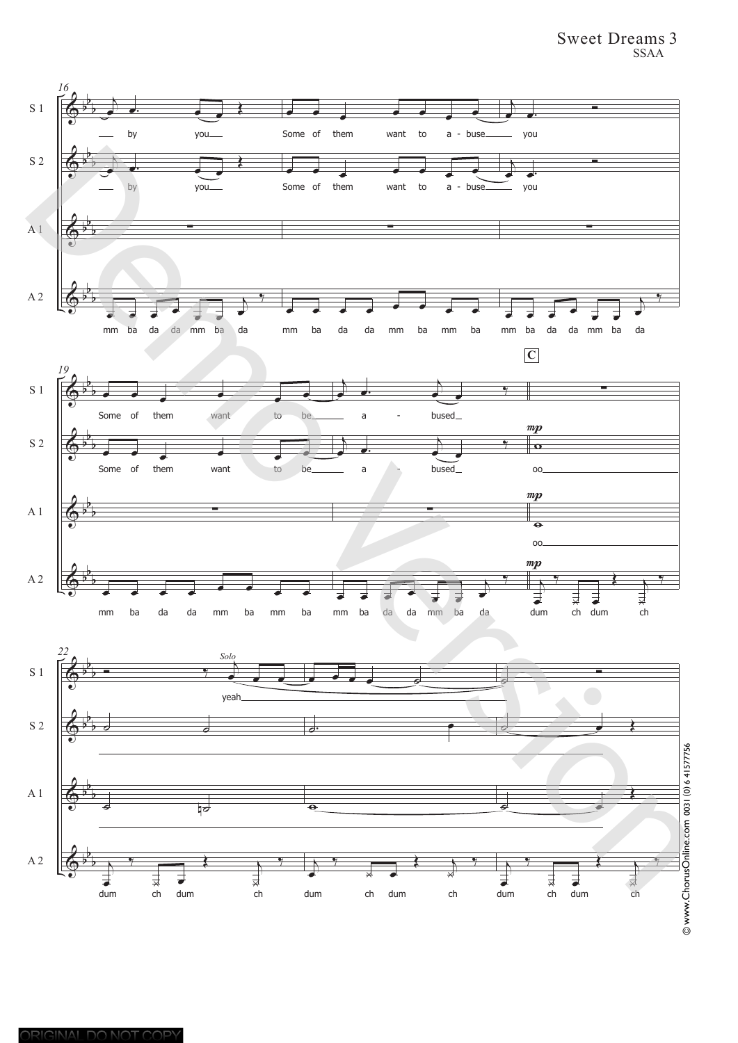## Sweet Dreams 3 SSAA



ORIGINAL DO NOT COPY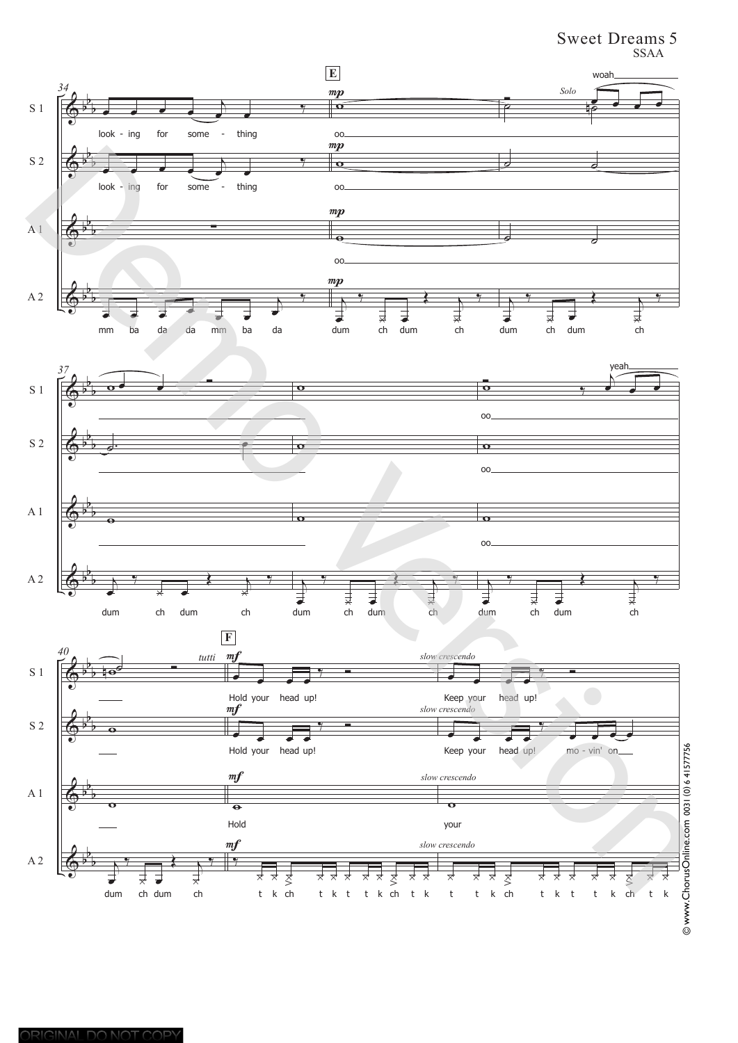## Sweet Dreams 5 SSAA

![](_page_2_Figure_1.jpeg)

ORIGINAL DO NOT COPY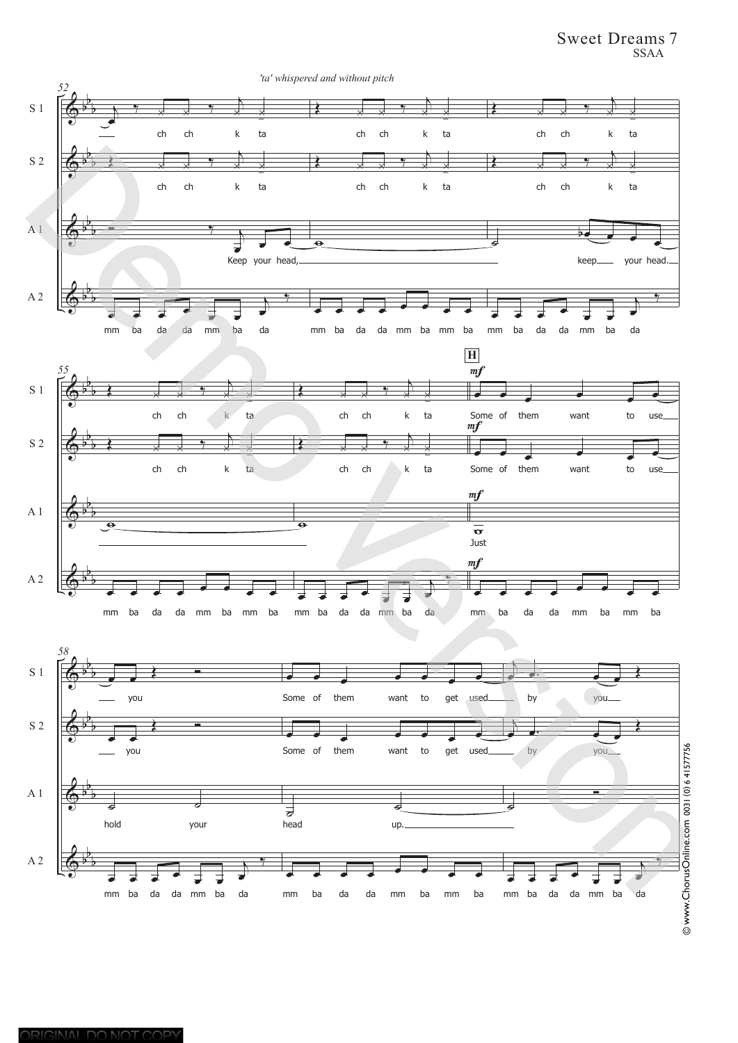Sweet Dreams 7 SSAA

![](_page_3_Figure_1.jpeg)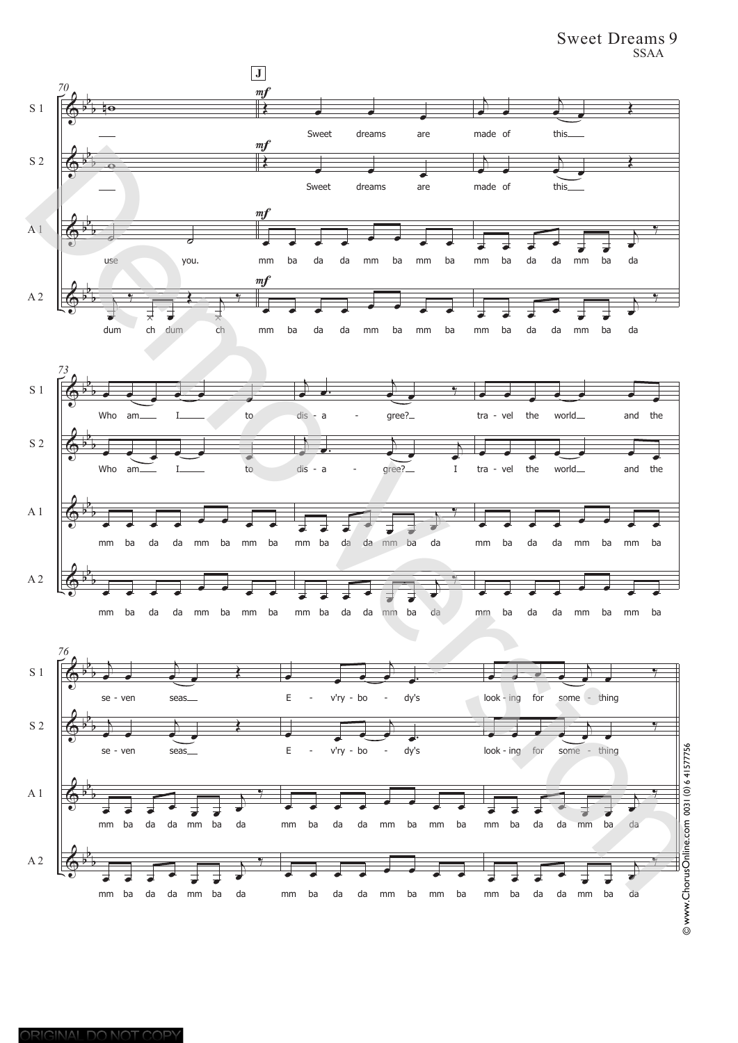Sweet Dreams 9 SSAA

![](_page_4_Figure_1.jpeg)

ORIGINAL DO NOT COPY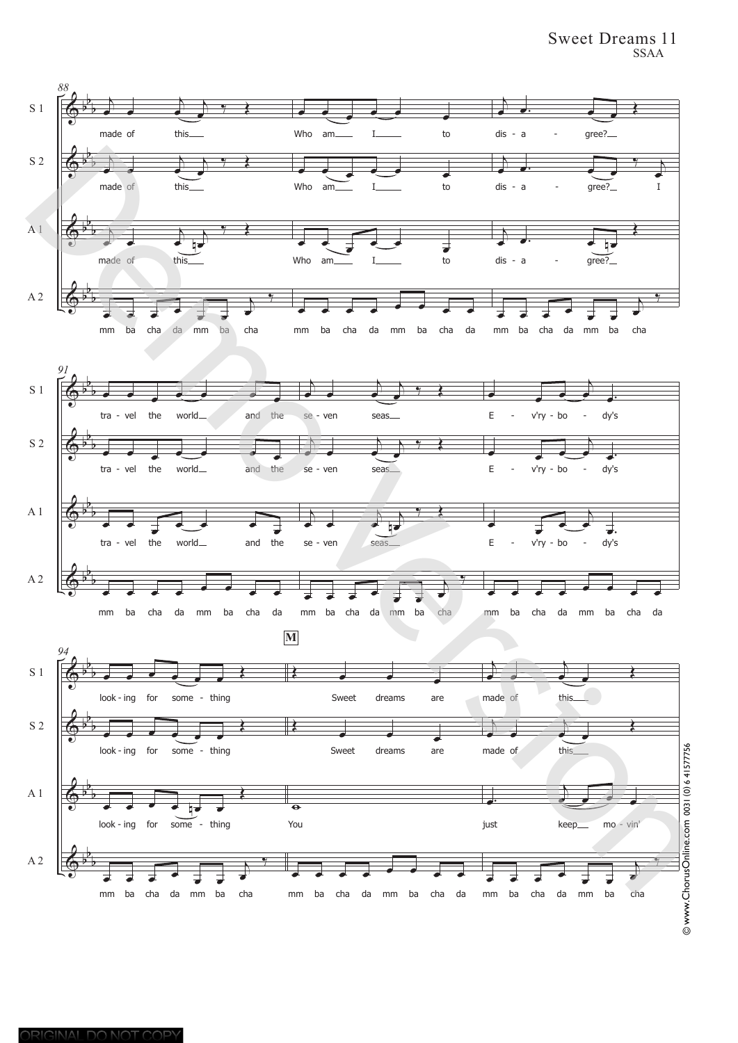## Sweet Dreams 11 SSAA

![](_page_5_Figure_1.jpeg)